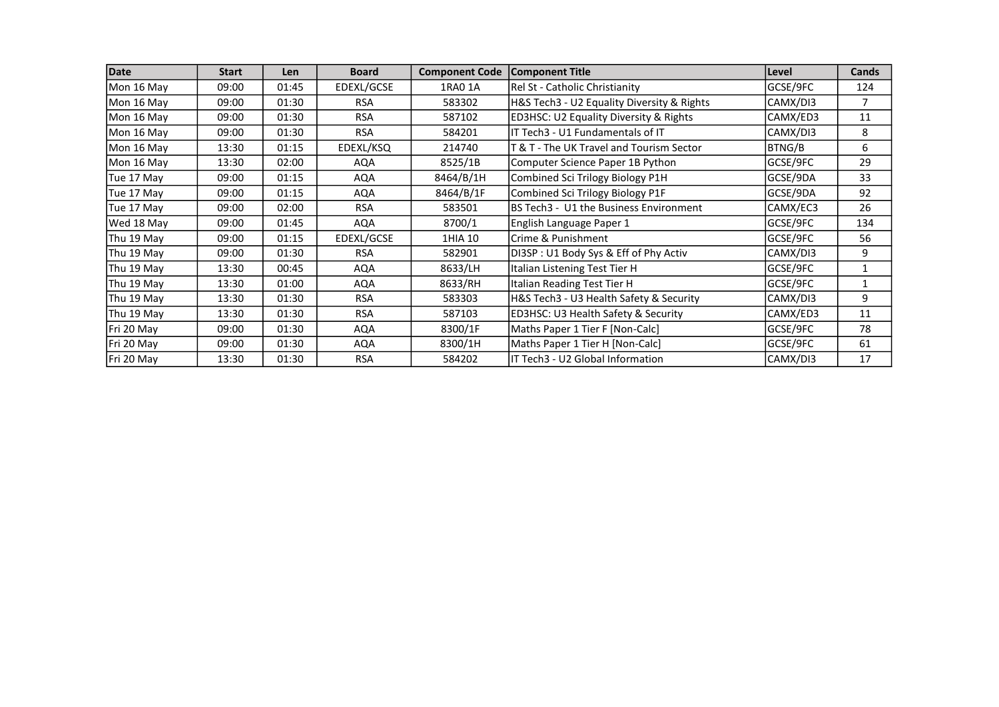| Date       | <b>Start</b> | <b>Len</b> | <b>Board</b> | <b>Component Code</b> | <b>Component Title</b>                            | Level         | Cands        |
|------------|--------------|------------|--------------|-----------------------|---------------------------------------------------|---------------|--------------|
| Mon 16 May | 09:00        | 01:45      | EDEXL/GCSE   | 1RA0 1A               | Rel St - Catholic Christianity                    | GCSE/9FC      | 124          |
| Mon 16 May | 09:00        | 01:30      | <b>RSA</b>   | 583302                | H&S Tech3 - U2 Equality Diversity & Rights        | CAMX/DI3      | 7            |
| Mon 16 May | 09:00        | 01:30      | <b>RSA</b>   | 587102                | <b>ED3HSC: U2 Equality Diversity &amp; Rights</b> | CAMX/ED3      | 11           |
| Mon 16 May | 09:00        | 01:30      | <b>RSA</b>   | 584201                | IT Tech3 - U1 Fundamentals of IT                  | CAMX/DI3      | 8            |
| Mon 16 May | 13:30        | 01:15      | EDEXL/KSQ    | 214740                | T & T - The UK Travel and Tourism Sector          | <b>BTNG/B</b> | 6            |
| Mon 16 May | 13:30        | 02:00      | AQA          | 8525/1B               | Computer Science Paper 1B Python                  | GCSE/9FC      | 29           |
| Tue 17 May | 09:00        | 01:15      | AQA          | 8464/B/1H             | Combined Sci Trilogy Biology P1H                  | GCSE/9DA      | 33           |
| Tue 17 May | 09:00        | 01:15      | AQA          | 8464/B/1F             | Combined Sci Trilogy Biology P1F                  | GCSE/9DA      | 92           |
| Tue 17 May | 09:00        | 02:00      | <b>RSA</b>   | 583501                | BS Tech3 - U1 the Business Environment            | CAMX/EC3      | 26           |
| Wed 18 May | 09:00        | 01:45      | AQA          | 8700/1                | English Language Paper 1                          | GCSE/9FC      | 134          |
| Thu 19 May | 09:00        | 01:15      | EDEXL/GCSE   | 1HIA 10               | Crime & Punishment                                | GCSE/9FC      | 56           |
| Thu 19 May | 09:00        | 01:30      | <b>RSA</b>   | 582901                | DI3SP: U1 Body Sys & Eff of Phy Activ             | CAMX/DI3      | 9            |
| Thu 19 May | 13:30        | 00:45      | AQA          | 8633/LH               | Italian Listening Test Tier H                     | GCSE/9FC      | 1            |
| Thu 19 May | 13:30        | 01:00      | AQA          | 8633/RH               | Italian Reading Test Tier H                       | GCSE/9FC      | $\mathbf{1}$ |
| Thu 19 May | 13:30        | 01:30      | <b>RSA</b>   | 583303                | H&S Tech3 - U3 Health Safety & Security           | CAMX/DI3      | 9            |
| Thu 19 May | 13:30        | 01:30      | <b>RSA</b>   | 587103                | ED3HSC: U3 Health Safety & Security               | CAMX/ED3      | 11           |
| Fri 20 May | 09:00        | 01:30      | AQA          | 8300/1F               | Maths Paper 1 Tier F [Non-Calc]                   | GCSE/9FC      | 78           |
| Fri 20 May | 09:00        | 01:30      | AQA          | 8300/1H               | Maths Paper 1 Tier H [Non-Calc]                   | GCSE/9FC      | 61           |
| Fri 20 May | 13:30        | 01:30      | <b>RSA</b>   | 584202                | IT Tech3 - U2 Global Information                  | CAMX/DI3      | 17           |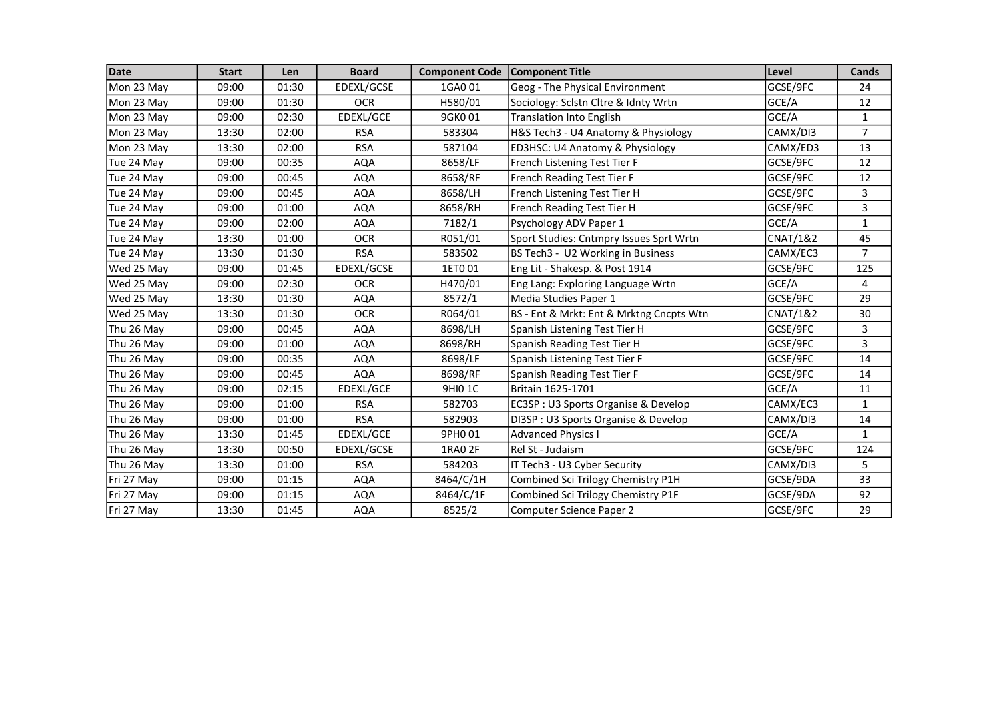| <b>Date</b> | <b>Start</b> | Len   | <b>Board</b> | <b>Component Code</b> | Component Title                          | Level               | Cands          |
|-------------|--------------|-------|--------------|-----------------------|------------------------------------------|---------------------|----------------|
| Mon 23 May  | 09:00        | 01:30 | EDEXL/GCSE   | 1GA0 01               | Geog - The Physical Environment          | GCSE/9FC            | 24             |
| Mon 23 May  | 09:00        | 01:30 | <b>OCR</b>   | H580/01               | Sociology: Sclstn Cltre & Idnty Wrtn     | GCE/A               | 12             |
| Mon 23 May  | 09:00        | 02:30 | EDEXL/GCE    | 9GK001                | <b>Translation Into English</b>          | GCE/A               | $\mathbf{1}$   |
| Mon 23 May  | 13:30        | 02:00 | <b>RSA</b>   | 583304                | H&S Tech3 - U4 Anatomy & Physiology      | CAMX/DI3            | $\overline{7}$ |
| Mon 23 May  | 13:30        | 02:00 | <b>RSA</b>   | 587104                | ED3HSC: U4 Anatomy & Physiology          | CAMX/ED3            | 13             |
| Tue 24 May  | 09:00        | 00:35 | <b>AQA</b>   | 8658/LF               | French Listening Test Tier F             | GCSE/9FC            | 12             |
| Tue 24 May  | 09:00        | 00:45 | <b>AQA</b>   | 8658/RF               | French Reading Test Tier F               | GCSE/9FC            | 12             |
| Tue 24 May  | 09:00        | 00:45 | <b>AQA</b>   | 8658/LH               | French Listening Test Tier H             | GCSE/9FC            | 3              |
| Tue 24 May  | 09:00        | 01:00 | <b>AQA</b>   | 8658/RH               | French Reading Test Tier H               | GCSE/9FC            | 3              |
| Tue 24 May  | 09:00        | 02:00 | <b>AQA</b>   | 7182/1                | Psychology ADV Paper 1                   | GCE/A               | $\mathbf{1}$   |
| Tue 24 May  | 13:30        | 01:00 | <b>OCR</b>   | R051/01               | Sport Studies: Cntmpry Issues Sprt Wrtn  | <b>CNAT/1&amp;2</b> | 45             |
| Tue 24 May  | 13:30        | 01:30 | <b>RSA</b>   | 583502                | BS Tech3 - U2 Working in Business        | CAMX/EC3            | $\overline{7}$ |
| Wed 25 May  | 09:00        | 01:45 | EDEXL/GCSE   | 1ET001                | Eng Lit - Shakesp. & Post 1914           | GCSE/9FC            | 125            |
| Wed 25 May  | 09:00        | 02:30 | <b>OCR</b>   | H470/01               | Eng Lang: Exploring Language Wrtn        | GCE/A               | 4              |
| Wed 25 May  | 13:30        | 01:30 | <b>AQA</b>   | 8572/1                | Media Studies Paper 1                    | GCSE/9FC            | 29             |
| Wed 25 May  | 13:30        | 01:30 | <b>OCR</b>   | R064/01               | BS - Ent & Mrkt: Ent & Mrktng Cncpts Wtn | <b>CNAT/1&amp;2</b> | 30             |
| Thu 26 May  | 09:00        | 00:45 | <b>AQA</b>   | 8698/LH               | Spanish Listening Test Tier H            | GCSE/9FC            | 3              |
| Thu 26 May  | 09:00        | 01:00 | <b>AQA</b>   | 8698/RH               | Spanish Reading Test Tier H              | GCSE/9FC            | 3              |
| Thu 26 May  | 09:00        | 00:35 | <b>AQA</b>   | 8698/LF               | Spanish Listening Test Tier F            | GCSE/9FC            | 14             |
| Thu 26 May  | 09:00        | 00:45 | <b>AQA</b>   | 8698/RF               | Spanish Reading Test Tier F              | GCSE/9FC            | 14             |
| Thu 26 May  | 09:00        | 02:15 | EDEXL/GCE    | 9HI0 1C               | Britain 1625-1701                        | GCE/A               | 11             |
| Thu 26 May  | 09:00        | 01:00 | <b>RSA</b>   | 582703                | EC3SP: U3 Sports Organise & Develop      | CAMX/EC3            | $\mathbf{1}$   |
| Thu 26 May  | 09:00        | 01:00 | <b>RSA</b>   | 582903                | DI3SP: U3 Sports Organise & Develop      | CAMX/DI3            | 14             |
| Thu 26 May  | 13:30        | 01:45 | EDEXL/GCE    | 9PH0 01               | <b>Advanced Physics I</b>                | GCE/A               | $\mathbf{1}$   |
| Thu 26 May  | 13:30        | 00:50 | EDEXL/GCSE   | 1RA0 2F               | Rel St - Judaism                         | GCSE/9FC            | 124            |
| Thu 26 May  | 13:30        | 01:00 | <b>RSA</b>   | 584203                | IT Tech3 - U3 Cyber Security             | CAMX/DI3            | 5              |
| Fri 27 May  | 09:00        | 01:15 | <b>AQA</b>   | 8464/C/1H             | Combined Sci Trilogy Chemistry P1H       | GCSE/9DA            | 33             |
| Fri 27 May  | 09:00        | 01:15 | <b>AQA</b>   | 8464/C/1F             | Combined Sci Trilogy Chemistry P1F       | GCSE/9DA            | 92             |
| Fri 27 May  | 13:30        | 01:45 | <b>AQA</b>   | 8525/2                | Computer Science Paper 2                 | GCSE/9FC            | 29             |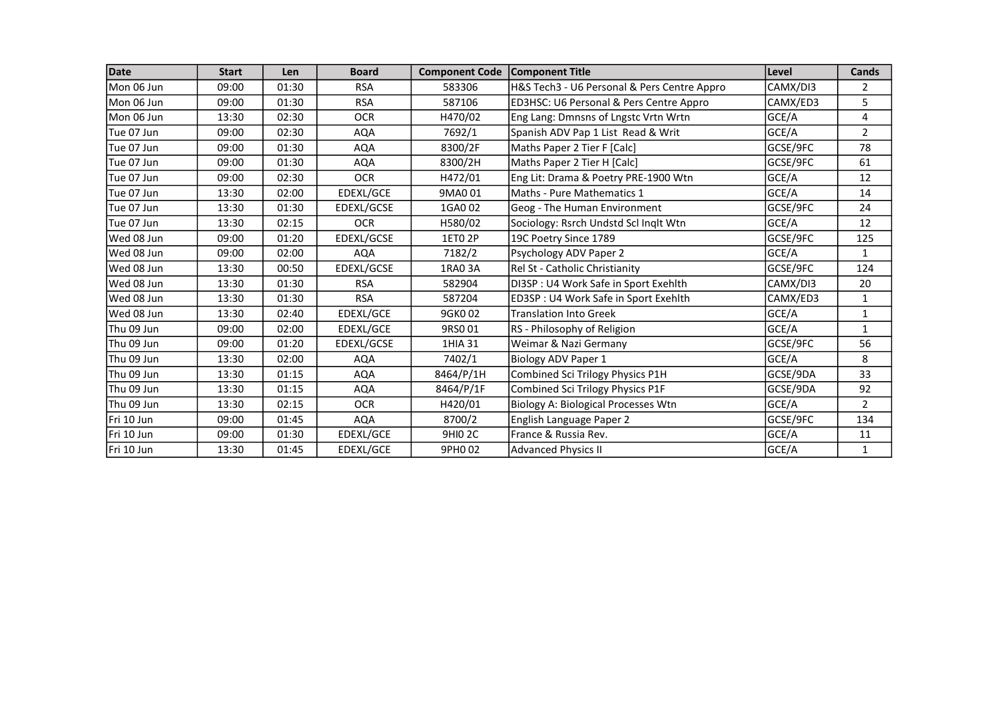| Date        | <b>Start</b> | <b>Len</b> | <b>Board</b> | <b>Component Code</b> | <b>Component Title</b>                      | Level    | Cands          |
|-------------|--------------|------------|--------------|-----------------------|---------------------------------------------|----------|----------------|
| Mon 06 Jun  | 09:00        | 01:30      | <b>RSA</b>   | 583306                | H&S Tech3 - U6 Personal & Pers Centre Appro | CAMX/DI3 | $\overline{2}$ |
| Mon 06 Jun  | 09:00        | 01:30      | <b>RSA</b>   | 587106                | ED3HSC: U6 Personal & Pers Centre Appro     | CAMX/ED3 | 5              |
| Mon 06 Jun  | 13:30        | 02:30      | <b>OCR</b>   | H470/02               | Eng Lang: Dmnsns of Lngstc Vrtn Wrtn        | GCE/A    | 4              |
| lTue 07 Jun | 09:00        | 02:30      | <b>AQA</b>   | 7692/1                | Spanish ADV Pap 1 List Read & Writ          | GCE/A    | $\overline{2}$ |
| lTue 07 Jun | 09:00        | 01:30      | <b>AQA</b>   | 8300/2F               | Maths Paper 2 Tier F [Calc]                 | GCSE/9FC | 78             |
| Tue 07 Jun  | 09:00        | 01:30      | <b>AQA</b>   | 8300/2H               | Maths Paper 2 Tier H [Calc]                 | GCSE/9FC | 61             |
| Tue 07 Jun  | 09:00        | 02:30      | <b>OCR</b>   | H472/01               | Eng Lit: Drama & Poetry PRE-1900 Wtn        | GCE/A    | 12             |
| lTue 07 Jun | 13:30        | 02:00      | EDEXL/GCE    | 9MA001                | Maths - Pure Mathematics 1                  | GCE/A    | 14             |
| Tue 07 Jun  | 13:30        | 01:30      | EDEXL/GCSE   | 1GA0 02               | Geog - The Human Environment                | GCSE/9FC | 24             |
| Tue 07 Jun  | 13:30        | 02:15      | <b>OCR</b>   | H580/02               | Sociology: Rsrch Undstd Scl Inglt Wtn       | GCE/A    | 12             |
| lWed 08 Jun | 09:00        | 01:20      | EDEXL/GCSE   | 1ET0 2P               | 19C Poetry Since 1789                       | GCSE/9FC | 125            |
| lWed 08 Jun | 09:00        | 02:00      | <b>AQA</b>   | 7182/2                | Psychology ADV Paper 2                      | GCE/A    | $\mathbf{1}$   |
| lWed 08 Jun | 13:30        | 00:50      | EDEXL/GCSE   | 1RA0 3A               | Rel St - Catholic Christianity              | GCSE/9FC | 124            |
| Wed 08 Jun  | 13:30        | 01:30      | <b>RSA</b>   | 582904                | DI3SP : U4 Work Safe in Sport Exehlth       | CAMX/DI3 | 20             |
| Wed 08 Jun  | 13:30        | 01:30      | <b>RSA</b>   | 587204                | ED3SP: U4 Work Safe in Sport Exehlth        | CAMX/ED3 | $\mathbf{1}$   |
| Wed 08 Jun  | 13:30        | 02:40      | EDEXL/GCE    | 9GK002                | <b>Translation Into Greek</b>               | GCE/A    | $\mathbf{1}$   |
| Thu 09 Jun  | 09:00        | 02:00      | EDEXL/GCE    | 9RS001                | RS - Philosophy of Religion                 | GCE/A    | $\mathbf{1}$   |
| Thu 09 Jun  | 09:00        | 01:20      | EDEXL/GCSE   | 1HIA 31               | Weimar & Nazi Germany                       | GCSE/9FC | 56             |
| Thu 09 Jun  | 13:30        | 02:00      | <b>AQA</b>   | 7402/1                | Biology ADV Paper 1                         | GCE/A    | 8              |
| Thu 09 Jun  | 13:30        | 01:15      | <b>AQA</b>   | 8464/P/1H             | Combined Sci Trilogy Physics P1H            | GCSE/9DA | 33             |
| Thu 09 Jun  | 13:30        | 01:15      | <b>AQA</b>   | 8464/P/1F             | Combined Sci Trilogy Physics P1F            | GCSE/9DA | 92             |
| Thu 09 Jun  | 13:30        | 02:15      | <b>OCR</b>   | H420/01               | Biology A: Biological Processes Wtn         | GCE/A    | $\overline{2}$ |
| FFri 10 Jun | 09:00        | 01:45      | <b>AQA</b>   | 8700/2                | English Language Paper 2                    | GCSE/9FC | 134            |
| Fri 10 Jun  | 09:00        | 01:30      | EDEXL/GCE    | <b>9HIO 2C</b>        | France & Russia Rev.                        | GCE/A    | 11             |
| Fri 10 Jun  | 13:30        | 01:45      | EDEXL/GCE    | 9PH0 02               | <b>Advanced Physics II</b>                  | GCE/A    | $\mathbf{1}$   |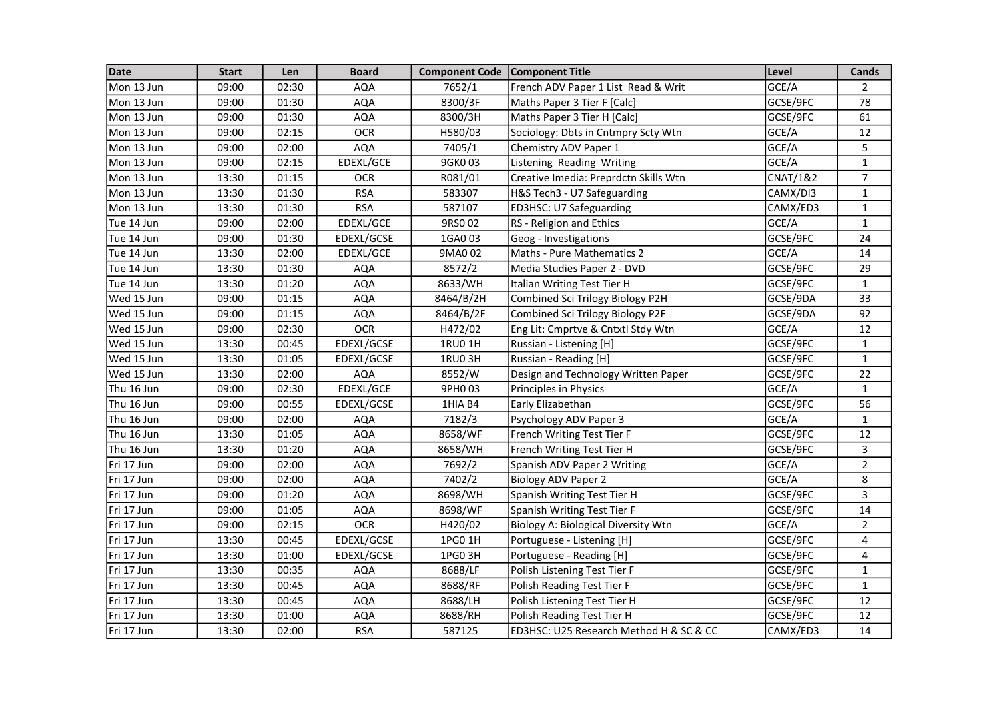| Date       | <b>Start</b> | Len   | <b>Board</b> | <b>Component Code</b> | <b>Component Title</b>                  | Level               | Cands          |
|------------|--------------|-------|--------------|-----------------------|-----------------------------------------|---------------------|----------------|
| Mon 13 Jun | 09:00        | 02:30 | <b>AQA</b>   | 7652/1                | French ADV Paper 1 List Read & Writ     | GCE/A               | $\overline{2}$ |
| Mon 13 Jun | 09:00        | 01:30 | AQA          | 8300/3F               | Maths Paper 3 Tier F [Calc]             | GCSE/9FC            | 78             |
| Mon 13 Jun | 09:00        | 01:30 | <b>AQA</b>   | 8300/3H               | Maths Paper 3 Tier H [Calc]             | GCSE/9FC            | 61             |
| Mon 13 Jun | 09:00        | 02:15 | <b>OCR</b>   | H580/03               | Sociology: Dbts in Cntmpry Scty Wtn     | GCE/A               | 12             |
| Mon 13 Jun | 09:00        | 02:00 | <b>AQA</b>   | 7405/1                | Chemistry ADV Paper 1                   | GCE/A               | 5              |
| Mon 13 Jun | 09:00        | 02:15 | EDEXL/GCE    | 9GK003                | Listening Reading Writing               | GCE/A               | $\mathbf{1}$   |
| Mon 13 Jun | 13:30        | 01:15 | <b>OCR</b>   | R081/01               | Creative Imedia: Preprdctn Skills Wtn   | <b>CNAT/1&amp;2</b> | $\overline{7}$ |
| Mon 13 Jun | 13:30        | 01:30 | <b>RSA</b>   | 583307                | H&S Tech3 - U7 Safeguarding             | CAMX/DI3            | $\mathbf{1}$   |
| Mon 13 Jun | 13:30        | 01:30 | <b>RSA</b>   | 587107                | ED3HSC: U7 Safeguarding                 | CAMX/ED3            | $\mathbf{1}$   |
| Tue 14 Jun | 09:00        | 02:00 | EDEXL/GCE    | 9RS002                | RS - Religion and Ethics                | GCE/A               | $\mathbf{1}$   |
| Tue 14 Jun | 09:00        | 01:30 | EDEXL/GCSE   | 1GA0 03               | Geog - Investigations                   | GCSE/9FC            | 24             |
| Tue 14 Jun | 13:30        | 02:00 | EDEXL/GCE    | 9MA002                | Maths - Pure Mathematics 2              | GCE/A               | 14             |
| Tue 14 Jun | 13:30        | 01:30 | <b>AQA</b>   | 8572/2                | Media Studies Paper 2 - DVD             | GCSE/9FC            | 29             |
| Tue 14 Jun | 13:30        | 01:20 | <b>AQA</b>   | 8633/WH               | Italian Writing Test Tier H             | GCSE/9FC            | $\mathbf{1}$   |
| Wed 15 Jun | 09:00        | 01:15 | <b>AQA</b>   | 8464/B/2H             | Combined Sci Trilogy Biology P2H        | GCSE/9DA            | 33             |
| Wed 15 Jun | 09:00        | 01:15 | <b>AQA</b>   | 8464/B/2F             | Combined Sci Trilogy Biology P2F        | GCSE/9DA            | 92             |
| Wed 15 Jun | 09:00        | 02:30 | <b>OCR</b>   | H472/02               | Eng Lit: Cmprtve & Cntxtl Stdy Wtn      | GCE/A               | 12             |
| Wed 15 Jun | 13:30        | 00:45 | EDEXL/GCSE   | 1RU0 1H               | Russian - Listening [H]                 | GCSE/9FC            | $\mathbf{1}$   |
| Wed 15 Jun | 13:30        | 01:05 | EDEXL/GCSE   | 1RU03H                | Russian - Reading [H]                   | GCSE/9FC            | $\mathbf{1}$   |
| Wed 15 Jun | 13:30        | 02:00 | <b>AQA</b>   | 8552/W                | Design and Technology Written Paper     | GCSE/9FC            | 22             |
| Thu 16 Jun | 09:00        | 02:30 | EDEXL/GCE    | 9PH003                | Principles in Physics                   | GCE/A               | $\mathbf{1}$   |
| Thu 16 Jun | 09:00        | 00:55 | EDEXL/GCSE   | 1HIA B4               | Early Elizabethan                       | GCSE/9FC            | 56             |
| Thu 16 Jun | 09:00        | 02:00 | <b>AQA</b>   | 7182/3                | Psychology ADV Paper 3                  | GCE/A               | $\mathbf{1}$   |
| Thu 16 Jun | 13:30        | 01:05 | <b>AQA</b>   | 8658/WF               | French Writing Test Tier F              | GCSE/9FC            | 12             |
| Thu 16 Jun | 13:30        | 01:20 | <b>AQA</b>   | 8658/WH               | French Writing Test Tier H              | GCSE/9FC            | 3              |
| Fri 17 Jun | 09:00        | 02:00 | AQA          | 7692/2                | Spanish ADV Paper 2 Writing             | GCE/A               | $\overline{2}$ |
| Fri 17 Jun | 09:00        | 02:00 | <b>AQA</b>   | 7402/2                | <b>Biology ADV Paper 2</b>              | GCE/A               | 8              |
| Fri 17 Jun | 09:00        | 01:20 | AQA          | 8698/WH               | Spanish Writing Test Tier H             | GCSE/9FC            | 3              |
| Fri 17 Jun | 09:00        | 01:05 | <b>AQA</b>   | 8698/WF               | Spanish Writing Test Tier F             | GCSE/9FC            | 14             |
| Fri 17 Jun | 09:00        | 02:15 | <b>OCR</b>   | H420/02               | Biology A: Biological Diversity Wtn     | GCE/A               | $\overline{2}$ |
| Fri 17 Jun | 13:30        | 00:45 | EDEXL/GCSE   | 1PG0 1H               | Portuguese - Listening [H]              | GCSE/9FC            | 4              |
| Fri 17 Jun | 13:30        | 01:00 | EDEXL/GCSE   | 1PG0 3H               | Portuguese - Reading [H]                | GCSE/9FC            | 4              |
| Fri 17 Jun | 13:30        | 00:35 | <b>AQA</b>   | 8688/LF               | Polish Listening Test Tier F            | GCSE/9FC            | $\mathbf{1}$   |
| Fri 17 Jun | 13:30        | 00:45 | <b>AQA</b>   | 8688/RF               | Polish Reading Test Tier F              | GCSE/9FC            | $\mathbf{1}$   |
| Fri 17 Jun | 13:30        | 00:45 | <b>AQA</b>   | 8688/LH               | Polish Listening Test Tier H            | GCSE/9FC            | 12             |
| Fri 17 Jun | 13:30        | 01:00 | <b>AQA</b>   | 8688/RH               | Polish Reading Test Tier H              | GCSE/9FC            | 12             |
| Fri 17 Jun | 13:30        | 02:00 | <b>RSA</b>   | 587125                | ED3HSC: U25 Research Method H & SC & CC | CAMX/ED3            | 14             |